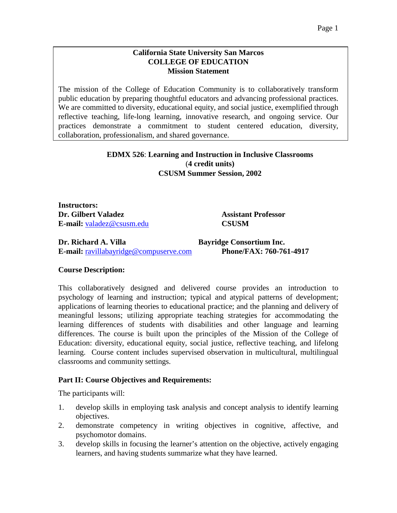### **California State University San Marcos COLLEGE OF EDUCATION Mission Statement**

The mission of the College of Education Community is to collaboratively transform public education by preparing thoughtful educators and advancing professional practices. We are committed to diversity, educational equity, and social justice, exemplified through reflective teaching, life-long learning, innovative research, and ongoing service. Our practices demonstrate a commitment to student centered education, diversity, collaboration, professionalism, and shared governance.

### **EDMX 526**: **Learning and Instruction in Inclusive Classrooms** (**4 credit units) CSUSM Summer Session, 2002**

**Instructors: Dr. Gilbert Valadez Assistant Professor E-mail:** [valadez@csusm.edu](mailto:valadez@csusm.edu) **CSUSM**

**Dr. Richard A. Villa Bayridge Consortium Inc. E-mail:** [ravillabayridge@compuserve.com](mailto:ravillabayridge@compuserve.com) **Phone/FAX: 760-761-4917**

### **Course Description:**

This collaboratively designed and delivered course provides an introduction to psychology of learning and instruction; typical and atypical patterns of development; applications of learning theories to educational practice; and the planning and delivery of meaningful lessons; utilizing appropriate teaching strategies for accommodating the learning differences of students with disabilities and other language and learning differences. The course is built upon the principles of the Mission of the College of Education: diversity, educational equity, social justice, reflective teaching, and lifelong learning. Course content includes supervised observation in multicultural, multilingual classrooms and community settings.

### **Part II: Course Objectives and Requirements:**

The participants will:

- 1. develop skills in employing task analysis and concept analysis to identify learning objectives.
- 2. demonstrate competency in writing objectives in cognitive, affective, and psychomotor domains.
- 3. develop skills in focusing the learner's attention on the objective, actively engaging learners, and having students summarize what they have learned.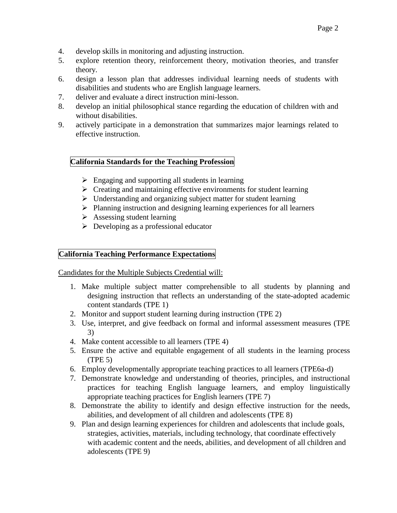- 4. develop skills in monitoring and adjusting instruction.
- 5. explore retention theory, reinforcement theory, motivation theories, and transfer theory.
- 6. design a lesson plan that addresses individual learning needs of students with disabilities and students who are English language learners.
- 7. deliver and evaluate a direct instruction mini-lesson.
- 8. develop an initial philosophical stance regarding the education of children with and without disabilities.
- 9. actively participate in a demonstration that summarizes major learnings related to effective instruction.

### **California Standards for the Teaching Profession**

- $\triangleright$  Engaging and supporting all students in learning
- $\triangleright$  Creating and maintaining effective environments for student learning
- Understanding and organizing subject matter for student learning
- $\triangleright$  Planning instruction and designing learning experiences for all learners
- $\triangleright$  Assessing student learning
- $\triangleright$  Developing as a professional educator

# **California Teaching Performance Expectations**

Candidates for the Multiple Subjects Credential will:

- 1. Make multiple subject matter comprehensible to all students by planning and designing instruction that reflects an understanding of the state-adopted academic content standards (TPE 1)
- 2. Monitor and support student learning during instruction (TPE 2)
- 3. Use, interpret, and give feedback on formal and informal assessment measures (TPE 3)
- 4. Make content accessible to all learners (TPE 4)
- 5. Ensure the active and equitable engagement of all students in the learning process (TPE 5)
- 6. Employ developmentally appropriate teaching practices to all learners (TPE6a-d)
- 7. Demonstrate knowledge and understanding of theories, principles, and instructional practices for teaching English language learners, and employ linguistically appropriate teaching practices for English learners (TPE 7)
- 8. Demonstrate the ability to identify and design effective instruction for the needs, abilities, and development of all children and adolescents (TPE 8)
- 9. Plan and design learning experiences for children and adolescents that include goals, strategies, activities, materials, including technology, that coordinate effectively with academic content and the needs, abilities, and development of all children and adolescents (TPE 9)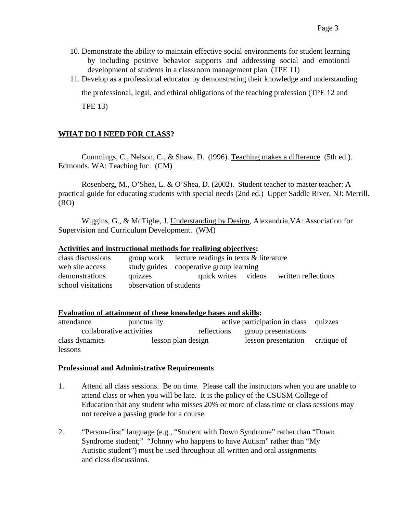- 10. Demonstrate the ability to maintain effective social environments for student learning by including positive behavior supports and addressing social and emotional development of students in a classroom management plan (TPE 11)
- 11. Develop as a professional educator by demonstrating their knowledge and understanding the professional, legal, and ethical obligations of the teaching profession (TPE 12 and TPE 13)

# **WHAT DO I NEED FOR CLASS?**

Cummings, C., Nelson, C., & Shaw, D. (l996). Teaching makes a difference (5th ed.). Edmonds, WA: Teaching Inc. (CM)

Rosenberg, M., O'Shea, L. & O'Shea, D. (2002). Student teacher to master teacher: A practical guide for educating students with special needs (2nd ed.) Upper Saddle River, NJ: Merrill. (RO)

Wiggins, G., & McTighe, J. Understanding by Design, Alexandria,VA: Association for Supervision and Curriculum Development. (WM)

#### **Activities and instructional methods for realizing objectives:**

| class discussions  |                         | group work lecture readings in texts $\&$ literature |  |                     |
|--------------------|-------------------------|------------------------------------------------------|--|---------------------|
| web site access    |                         | study guides cooperative group learning              |  |                     |
| demonstrations     | quizzes                 | quick writes videos                                  |  | written reflections |
| school visitations | observation of students |                                                      |  |                     |

#### **Evaluation of attainment of these knowledge bases and skills:**

| attendance               | punctuality        |             | active participation in class quizzes |  |
|--------------------------|--------------------|-------------|---------------------------------------|--|
| collaborative activities |                    | reflections | group presentations                   |  |
| class dynamics           | lesson plan design |             | lesson presentation critique of       |  |
| lessons                  |                    |             |                                       |  |

### **Professional and Administrative Requirements**

- 1. Attend all class sessions. Be on time. Please call the instructors when you are unable to attend class or when you will be late. It is the policy of the CSUSM College of Education that any student who misses 20% or more of class time or class sessions may not receive a passing grade for a course.
- 2. "Person-first" language (e.g., "Student with Down Syndrome" rather than "Down Syndrome student;" "Johnny who happens to have Autism" rather than "My Autistic student") must be used throughout all written and oral assignments and class discussions.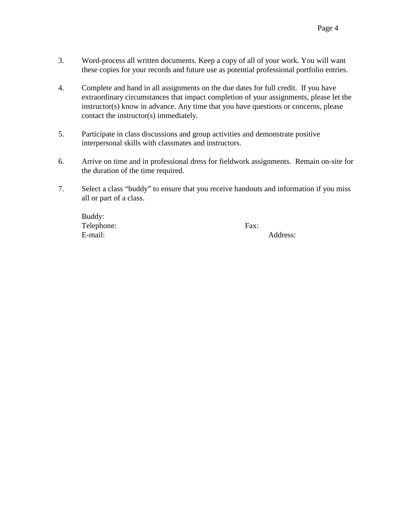- 3. Word-process all written documents. Keep a copy of all of your work. You will want these copies for your records and future use as potential professional portfolio entries.
- 4. Complete and hand in all assignments on the due dates for full credit. If you have extraordinary circumstances that impact completion of your assignments, please let the instructor(s) know in advance. Any time that you have questions or concerns, please contact the instructor(s) immediately.
- 5. Participate in class discussions and group activities and demonstrate positive interpersonal skills with classmates and instructors.
- 6. Arrive on time and in professional dress for fieldwork assignments. Remain on-site for the duration of the time required.
- 7. Select a class "buddy" to ensure that you receive handouts and information if you miss all or part of a class.

| Buddy:     |      |          |
|------------|------|----------|
| Telephone: | Fax: |          |
| E-mail:    |      | Address: |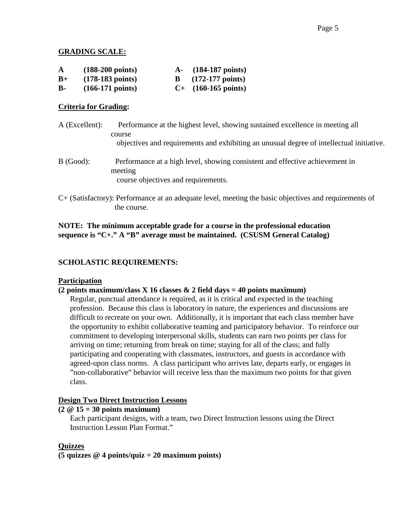### **GRADING SCALE:**

| A         | $(188-200 \text{ points})$ | A- (184-187 points)        |
|-----------|----------------------------|----------------------------|
| $B+$      | $(178-183 \text{ points})$ | $(172-177 \text{ points})$ |
| <b>B-</b> | $(166-171 \text{ points})$ | $C+$ (160-165 points)      |

# **Criteria for Grading:**

A (Excellent): Performance at the highest level, showing sustained excellence in meeting all course objectives and requirements and exhibiting an unusual degree of intellectual initiative. B (Good): Performance at a high level, showing consistent and effective achievement in meeting

course objectives and requirements.

C+ (Satisfactory): Performance at an adequate level, meeting the basic objectives and requirements of the course.

# **NOTE: The minimum acceptable grade for a course in the professional education sequence is "C+." A "B" average must be maintained. (CSUSM General Catalog)**

# **SCHOLASTIC REQUIREMENTS:**

### **Participation**

# **(2 points maximum/class X 16 classes & 2 field days = 40 points maximum)**

Regular, punctual attendance is required, as it is critical and expected in the teaching profession. Because this class is laboratory in nature, the experiences and discussions are difficult to recreate on your own. Additionally, it is important that each class member have the opportunity to exhibit collaborative teaming and participatory behavior. To reinforce our commitment to developing interpersonal skills, students can earn two points per class for arriving on time; returning from break on time; staying for all of the class; and fully participating and cooperating with classmates, instructors, and guests in accordance with agreed-upon class norms. A class participant who arrives late, departs early, or engages in "non-collaborative" behavior will receive less than the maximum two points for that given class.

### **Design Two Direct Instruction Lessons**

### **(2 @ 15 = 30 points maximum)**

Each participant designs, with a team, two Direct Instruction lessons using the Direct Instruction Lesson Plan Format."

# **Quizzes**

**(5 quizzes @ 4 points/quiz = 20 maximum points)**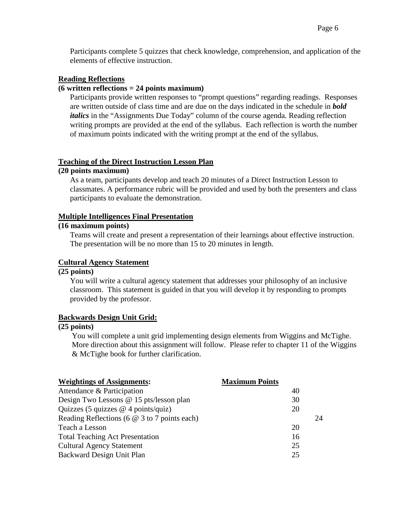Participants complete 5 quizzes that check knowledge, comprehension, and application of the elements of effective instruction.

#### **Reading Reflections**

#### **(6 written reflections = 24 points maximum)**

Participants provide written responses to "prompt questions" regarding readings. Responses are written outside of class time and are due on the days indicated in the schedule in *bold*  italics in the "Assignments Due Today" column of the course agenda. Reading reflection writing prompts are provided at the end of the syllabus. Each reflection is worth the number of maximum points indicated with the writing prompt at the end of the syllabus.

#### **Teaching of the Direct Instruction Lesson Plan**

### **(20 points maximum)**

As a team, participants develop and teach 20 minutes of a Direct Instruction Lesson to classmates. A performance rubric will be provided and used by both the presenters and class participants to evaluate the demonstration.

#### **Multiple Intelligences Final Presentation**

### **(16 maximum points)**

Teams will create and present a representation of their learnings about effective instruction. The presentation will be no more than 15 to 20 minutes in length.

#### **Cultural Agency Statement**

#### **(25 points)**

You will write a cultural agency statement that addresses your philosophy of an inclusive classroom. This statement is guided in that you will develop it by responding to prompts provided by the professor.

#### **Backwards Design Unit Grid:**

#### **(25 points)**

You will complete a unit grid implementing design elements from Wiggins and McTighe. More direction about this assignment will follow. Please refer to chapter 11 of the Wiggins & McTighe book for further clarification.

| <b>Maximum Points</b> |    |
|-----------------------|----|
| 40                    |    |
| 30                    |    |
| 20                    |    |
|                       | 24 |
| 20                    |    |
| 16                    |    |
| 25                    |    |
| 25                    |    |
|                       |    |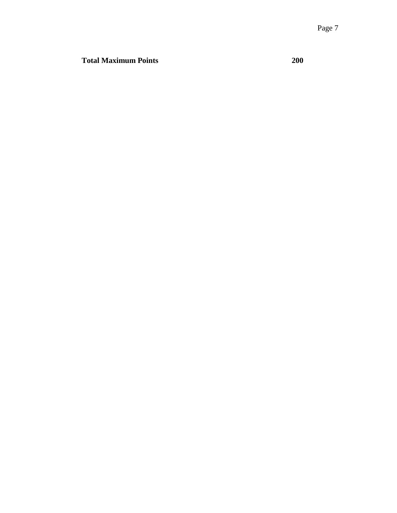**Total Maximum Points 200**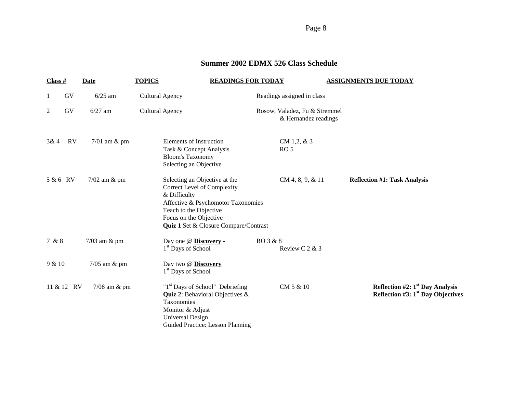Page 8

# **Summer 2002 EDMX 526 Class Schedule**

| Class #  |            | <b>Date</b>       | <b>TOPICS</b>                                                                                                                    | <b>READINGS FOR TODAY</b>                                                                                                                  | <b>ASSIGNMENTS DUE TODAY</b>                                             |
|----------|------------|-------------------|----------------------------------------------------------------------------------------------------------------------------------|--------------------------------------------------------------------------------------------------------------------------------------------|--------------------------------------------------------------------------|
|          | GV         | $6/25$ am         | <b>Cultural Agency</b>                                                                                                           | Readings assigned in class                                                                                                                 |                                                                          |
| 2        | GV         | $6/27$ am         | <b>Cultural Agency</b>                                                                                                           | Rosow, Valadez, Fu & Stremmel<br>& Hernandez readings                                                                                      |                                                                          |
| 3&4      | <b>RV</b>  | $7/01$ am $\&$ pm | Elements of Instruction<br>Task & Concept Analysis<br><b>Bloom's Taxonomy</b><br>Selecting an Objective                          | CM 1,2, $&3$<br>RO <sub>5</sub>                                                                                                            |                                                                          |
| 5 & 6 RV |            | 7/02 am & pm      | Selecting an Objective at the<br>Correct Level of Complexity<br>& Difficulty<br>Teach to the Objective<br>Focus on the Objective | CM 4, 8, 9, & 11<br>Affective & Psychomotor Taxonomies<br><b>Quiz 1 Set &amp; Closure Compare/Contrast</b>                                 | <b>Reflection #1: Task Analysis</b>                                      |
| 7 & 8    |            | $7/03$ am & pm    | Day one @ Discovery -<br>1 <sup>st</sup> Days of School                                                                          | RO 3 & 8<br>Review C 2 & 3                                                                                                                 |                                                                          |
| 9 & 10   |            | $7/05$ am $\&$ pm | Day two @ Discovery<br>1 <sup>st</sup> Days of School                                                                            |                                                                                                                                            |                                                                          |
|          | 11 & 12 RV | $7/08$ am $\&$ pm | Taxonomies<br>Monitor & Adjust<br>Universal Design                                                                               | "1 <sup>st</sup> Days of School" Debriefing<br>CM 5 & 10<br><b>Quiz 2: Behavioral Objectives &amp;</b><br>Guided Practice: Lesson Planning | Reflection #2: $1st$ Day Analysis<br>Reflection #3: $1st$ Day Objectives |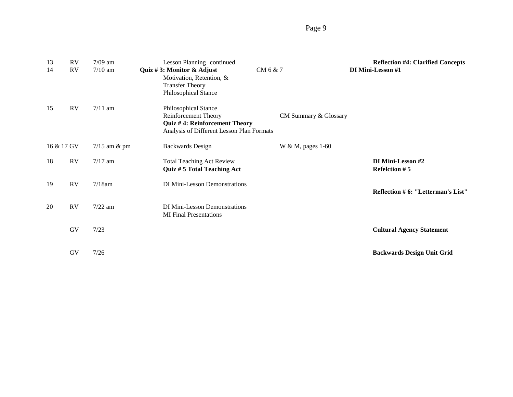# Page 9

| 13<br>14   | <b>RV</b><br><b>RV</b> | $7/09$ am<br>$7/10$ am | Lesson Planning continued<br>Quiz #3: Monitor & Adjust<br>Motivation, Retention, &<br><b>Transfer Theory</b><br>Philosophical Stance | CM 6 & 7              | <b>Reflection #4: Clarified Concepts</b><br>DI Mini-Lesson #1 |
|------------|------------------------|------------------------|--------------------------------------------------------------------------------------------------------------------------------------|-----------------------|---------------------------------------------------------------|
| 15         | RV                     | $7/11$ am              | Philosophical Stance<br>Reinforcement Theory<br>Quiz #4: Reinforcement Theory<br>Analysis of Different Lesson Plan Formats           | CM Summary & Glossary |                                                               |
| 16 & 17 GV |                        | $7/15$ am & pm         | <b>Backwards Design</b>                                                                                                              | W & M, pages 1-60     |                                                               |
| 18         | RV                     | $7/17$ am              | <b>Total Teaching Act Review</b><br>Quiz # 5 Total Teaching Act                                                                      |                       | DI Mini-Lesson #2<br><b>Refelction #5</b>                     |
| 19         | <b>RV</b>              | $7/18$ am              | DI Mini-Lesson Demonstrations                                                                                                        |                       | Reflection # 6: "Letterman's List"                            |
| 20         | RV                     | $7/22$ am              | DI Mini-Lesson Demonstrations<br><b>MI</b> Final Presentations                                                                       |                       |                                                               |
|            | GV                     | 7/23                   |                                                                                                                                      |                       | <b>Cultural Agency Statement</b>                              |
|            | GV                     | 7/26                   |                                                                                                                                      |                       | <b>Backwards Design Unit Grid</b>                             |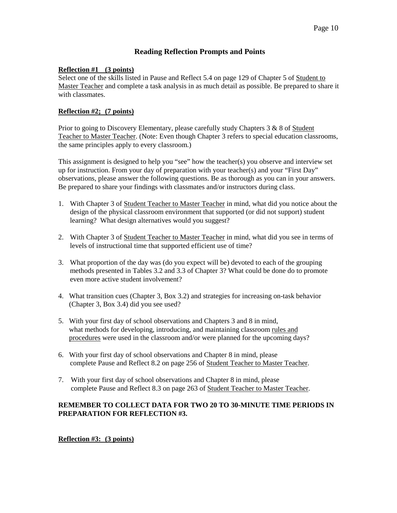### **Reading Reflection Prompts and Points**

#### **Reflection #1 (3 points)**

Select one of the skills listed in Pause and Reflect 5.4 on page 129 of Chapter 5 of Student to Master Teacher and complete a task analysis in as much detail as possible. Be prepared to share it with classmates

#### **Reflection #2; (7 points)**

Prior to going to Discovery Elementary, please carefully study Chapters 3 & 8 of Student Teacher to Master Teacher. (Note: Even though Chapter 3 refers to special education classrooms, the same principles apply to every classroom.)

This assignment is designed to help you "see" how the teacher(s) you observe and interview set up for instruction. From your day of preparation with your teacher(s) and your "First Day" observations, please answer the following questions. Be as thorough as you can in your answers. Be prepared to share your findings with classmates and/or instructors during class.

- 1. With Chapter 3 of Student Teacher to Master Teacher in mind, what did you notice about the design of the physical classroom environment that supported (or did not support) student learning? What design alternatives would you suggest?
- 2. With Chapter 3 of Student Teacher to Master Teacher in mind, what did you see in terms of levels of instructional time that supported efficient use of time?
- 3. What proportion of the day was (do you expect will be) devoted to each of the grouping methods presented in Tables 3.2 and 3.3 of Chapter 3? What could be done do to promote even more active student involvement?
- 4. What transition cues (Chapter 3, Box 3.2) and strategies for increasing on-task behavior (Chapter 3, Box 3.4) did you see used?
- 5. With your first day of school observations and Chapters 3 and 8 in mind, what methods for developing, introducing, and maintaining classroom rules and procedures were used in the classroom and/or were planned for the upcoming days?
- 6. With your first day of school observations and Chapter 8 in mind, please complete Pause and Reflect 8.2 on page 256 of Student Teacher to Master Teacher.
- 7. With your first day of school observations and Chapter 8 in mind, please complete Pause and Reflect 8.3 on page 263 of Student Teacher to Master Teacher.

#### **REMEMBER TO COLLECT DATA FOR TWO 20 TO 30-MINUTE TIME PERIODS IN PREPARATION FOR REFLECTION #3.**

**Reflection #3: (3 points)**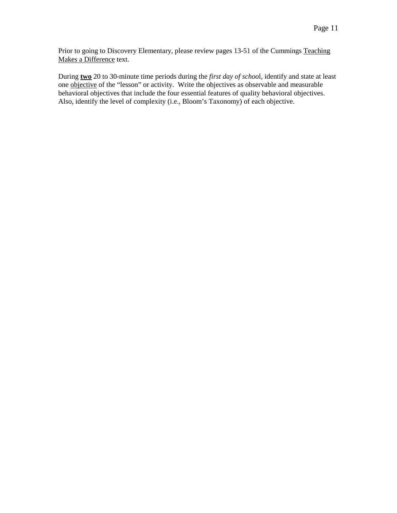Prior to going to Discovery Elementary, please review pages 13-51 of the Cummings Teaching Makes a Difference text.

During **two** 20 to 30-minute time periods during the *first day of schoo*l, identify and state at least one objective of the "lesson" or activity. Write the objectives as observable and measurable behavioral objectives that include the four essential features of quality behavioral objectives. Also, identify the level of complexity (i.e., Bloom's Taxonomy) of each objective.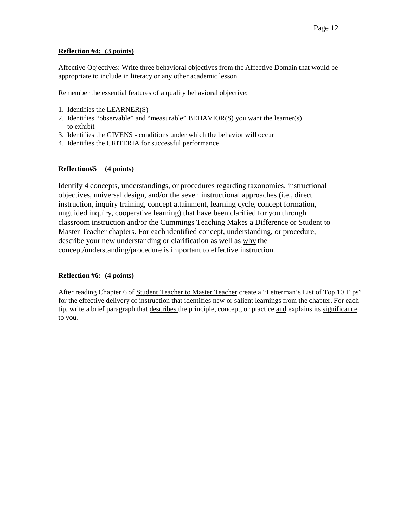#### **Reflection #4: (3 points)**

Affective Objectives: Write three behavioral objectives from the Affective Domain that would be appropriate to include in literacy or any other academic lesson.

Remember the essential features of a quality behavioral objective:

- 1. Identifies the LEARNER(S)
- 2. Identifies "observable" and "measurable" BEHAVIOR(S) you want the learner(s) to exhibit
- 3. Identifies the GIVENS conditions under which the behavior will occur
- 4. Identifies the CRITERIA for successful performance

#### **Reflection#5 (4 points)**

Identify 4 concepts, understandings, or procedures regarding taxonomies, instructional objectives, universal design, and/or the seven instructional approaches (i.e., direct instruction, inquiry training, concept attainment, learning cycle, concept formation, unguided inquiry, cooperative learning) that have been clarified for you through classroom instruction and/or the Cummings Teaching Makes a Difference or Student to Master Teacher chapters. For each identified concept, understanding, or procedure, describe your new understanding or clarification as well as why the concept/understanding/procedure is important to effective instruction.

### **Reflection #6: (4 points)**

After reading Chapter 6 of Student Teacher to Master Teacher create a "Letterman's List of Top 10 Tips" for the effective delivery of instruction that identifies new or salient learnings from the chapter. For each tip, write a brief paragraph that describes the principle, concept, or practice and explains its significance to you.